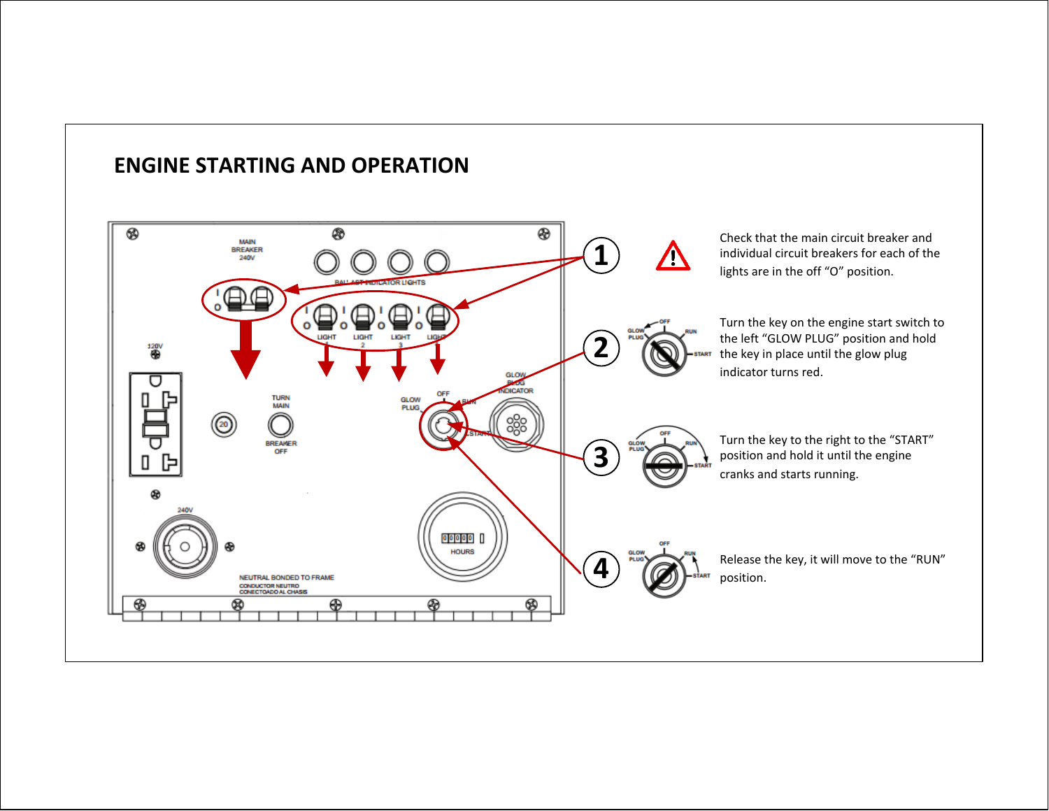## **ENGINE STARTING AND OPERATION**

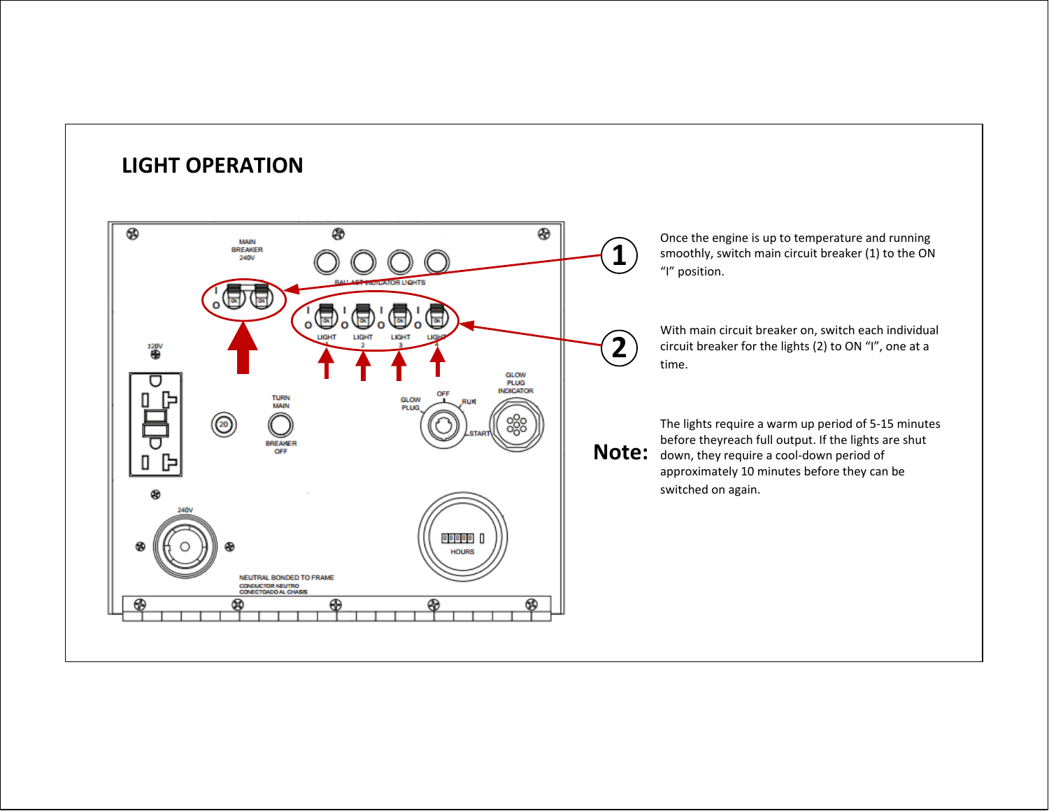

**LIGHT OPERATION**